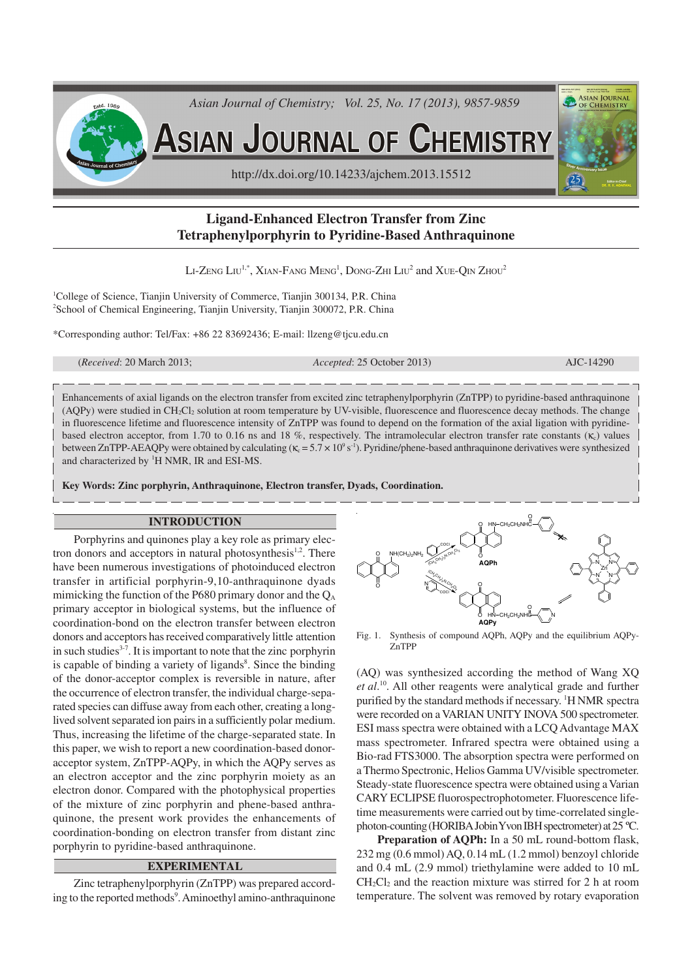

# **Ligand-Enhanced Electron Transfer from Zinc Tetraphenylporphyrin to Pyridine-Based Anthraquinone**

Li-Zeng Liu $^{1,*}$ , Xian-Fang Meng $^{1}$ , Dong-Zhi Liu $^{2}$  and Xue-Qin Zhou $^{2}$ 

<sup>1</sup>College of Science, Tianjin University of Commerce, Tianjin 300134, P.R. China <sup>2</sup>School of Chemical Engineering, Tianjin University, Tianjin 300072, P.R. China

\*Corresponding author: Tel/Fax: +86 22 83692436; E-mail: llzeng@tjcu.edu.cn

(*Received*: 20 March 2013; *Accepted*: 25 October 2013) AJC-14290

Enhancements of axial ligands on the electron transfer from excited zinc tetraphenylporphyrin (ZnTPP) to pyridine-based anthraquinone (AQPy) were studied in CH2Cl2 solution at room temperature by UV-visible, fluorescence and fluorescence decay methods. The change in fluorescence lifetime and fluorescence intensity of ZnTPP was found to depend on the formation of the axial ligation with pyridinebased electron acceptor, from 1.70 to 0.16 ns and 18 %, respectively. The intramolecular electron transfer rate constants ( $\kappa_c$ ) values between ZnTPP-AEAQPy were obtained by calculating ( $\kappa_c = 5.7 \times 10^9 \text{ s}^{-1}$ ). Pyridine/phene-based anthraquinone derivatives were synthesized and characterized by <sup>1</sup>H NMR, IR and ESI-MS.

**Key Words: Zinc porphyrin, Anthraquinone, Electron transfer, Dyads, Coordination.**

#### **INTRODUCTION**

Porphyrins and quinones play a key role as primary electron donors and acceptors in natural photosynthesis<sup>1,2</sup>. There have been numerous investigations of photoinduced electron transfer in artificial porphyrin-9,10-anthraquinone dyads mimicking the function of the P680 primary donor and the  $Q_A$ primary acceptor in biological systems, but the influence of coordination-bond on the electron transfer between electron donors and acceptors has received comparatively little attention in such studies<sup>3-7</sup>. It is important to note that the zinc porphyrin is capable of binding a variety of ligands<sup>8</sup>. Since the binding of the donor-acceptor complex is reversible in nature, after the occurrence of electron transfer, the individual charge-separated species can diffuse away from each other, creating a longlived solvent separated ion pairs in a sufficiently polar medium. Thus, increasing the lifetime of the charge-separated state. In this paper, we wish to report a new coordination-based donoracceptor system, ZnTPP-AQPy, in which the AQPy serves as an electron acceptor and the zinc porphyrin moiety as an electron donor. Compared with the photophysical properties of the mixture of zinc porphyrin and phene-based anthraquinone, the present work provides the enhancements of coordination-bonding on electron transfer from distant zinc porphyrin to pyridine-based anthraquinone.

## **EXPERIMENTAL**

Zinc tetraphenylporphyrin (ZnTPP) was prepared according to the reported methods<sup>9</sup>. Aminoethyl amino-anthraquinone



Fig. 1. Synthesis of compound AQPh, AQPy and the equilibrium AQPy-ZnTPP

(AQ) was synthesized according the method of Wang XQ *et al*. 10 . All other reagents were analytical grade and further purified by the standard methods if necessary. <sup>1</sup>H NMR spectra were recorded on a VARIAN UNITY INOVA 500 spectrometer. ESI mass spectra were obtained with a LCQ Advantage MAX mass spectrometer. Infrared spectra were obtained using a Bio-rad FTS3000. The absorption spectra were performed on a Thermo Spectronic, Helios Gamma UV/visible spectrometer. Steady-state fluorescence spectra were obtained using a Varian CARY ECLIPSE fluorospectrophotometer. Fluorescence lifetime measurements were carried out by time-correlated singlephoton-counting (HORIBA Jobin Yvon IBH spectrometer) at 25 ºC.

**Preparation of AQPh:** In a 50 mL round-bottom flask, 232 mg (0.6 mmol) AQ, 0.14 mL (1.2 mmol) benzoyl chloride and 0.4 mL (2.9 mmol) triethylamine were added to 10 mL  $CH<sub>2</sub>Cl<sub>2</sub>$  and the reaction mixture was stirred for 2 h at room temperature. The solvent was removed by rotary evaporation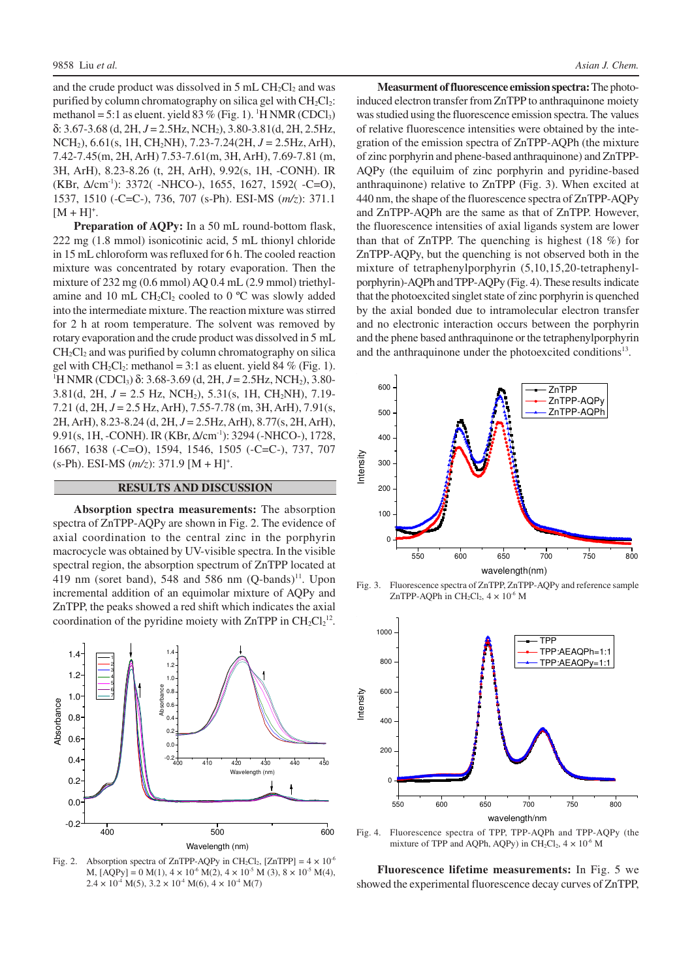and the crude product was dissolved in  $5 \text{ mL } CH_2Cl_2$  and was purified by column chromatography on silica gel with  $CH_2Cl_2$ : methanol = 5:1 as eluent. yield 83 % (Fig. 1). <sup>1</sup>H NMR (CDCl<sub>3</sub>) δ: 3.67-3.68 (d, 2H, *J* = 2.5Hz, NCH2), 3.80-3.81(d, 2H, 2.5Hz, NCH2), 6.61(s, 1H, CH2NH), 7.23-7.24(2H, *J* = 2.5Hz, ArH), 7.42-7.45(m, 2H, ArH) 7.53-7.61(m, 3H, ArH), 7.69-7.81 (m, 3H, ArH), 8.23-8.26 (t, 2H, ArH), 9.92(s, 1H, -CONH). IR (KBr, ∆/cm-1): 3372( -NHCO-), 1655, 1627, 1592( -C=O), 1537, 1510 (-C=C-), 736, 707 (s-Ph). ESI-MS (*m/z*): 371.1  $[M + H]^{+}$ .

**Preparation of AQPy:** In a 50 mL round-bottom flask, 222 mg (1.8 mmol) isonicotinic acid, 5 mL thionyl chloride in 15 mL chloroform was refluxed for 6 h. The cooled reaction mixture was concentrated by rotary evaporation. Then the mixture of 232 mg (0.6 mmol) AQ 0.4 mL (2.9 mmol) triethylamine and 10 mL  $CH<sub>2</sub>Cl<sub>2</sub>$  cooled to 0 °C was slowly added into the intermediate mixture. The reaction mixture was stirred for 2 h at room temperature. The solvent was removed by rotary evaporation and the crude product was dissolved in 5 mL  $CH<sub>2</sub>Cl<sub>2</sub>$  and was purified by column chromatography on silica gel with  $CH_2Cl_2$ : methanol = 3:1 as eluent. yield 84 % (Fig. 1). <sup>1</sup>H NMR (CDCl<sub>3</sub>) δ: 3.68-3.69 (d, 2H, *J* = 2.5Hz, NCH<sub>2</sub>), 3.80-3.81(d, 2H, *J* = 2.5 Hz, NCH2), 5.31(s, 1H, CH2NH), 7.19- 7.21 (d, 2H, *J* = 2.5 Hz,ArH), 7.55-7.78 (m, 3H,ArH), 7.91(s, 2H,ArH), 8.23-8.24 (d, 2H, *J* = 2.5Hz,ArH), 8.77(s, 2H,ArH), 9.91(s, 1H, -CONH). IR (KBr, Δ/cm<sup>-1</sup>): 3294 (-NHCO-), 1728, 1667, 1638 (-C=O), 1594, 1546, 1505 (-C=C-), 737, 707 (s-Ph). ESI-MS (*m/z*): 371.9 [M + H]<sup>+</sup> .

#### **RESULTS AND DISCUSSION**

**Absorption spectra measurements:** The absorption spectra of ZnTPP-AQPy are shown in Fig. 2. The evidence of axial coordination to the central zinc in the porphyrin macrocycle was obtained by UV-visible spectra. In the visible spectral region, the absorption spectrum of ZnTPP located at 419 nm (soret band), 548 and 586 nm  $(Q$ -bands) $^{11}$ . Upon incremental addition of an equimolar mixture of AQPy and ZnTPP, the peaks showed a red shift which indicates the axial coordination of the pyridine moiety with  $ZnTPP$  in  $CH_2Cl_2^{12}$ .



Fig. 2. Absorption spectra of ZnTPP-AQPy in CH<sub>2</sub>Cl<sub>2</sub>, [ZnTPP] =  $4 \times 10^{-6}$ M,  $[ AOPy ] = 0 M(1), 4 \times 10^6 M(2), 4 \times 10^5 M(3), 8 \times 10^5 M(4),$  $2.4 \times 10^{4}$  M(5),  $3.2 \times 10^{4}$  M(6),  $4 \times 10^{4}$  M(7)

**Measurment of fluorescence emission spectra:** The photoinduced electron transfer from ZnTPP to anthraquinone moiety was studied using the fluorescence emission spectra. The values of relative fluorescence intensities were obtained by the integration of the emission spectra of ZnTPP-AQPh (the mixture of zinc porphyrin and phene-based anthraquinone) and ZnTPP-AQPy (the equiluim of zinc porphyrin and pyridine-based anthraquinone) relative to ZnTPP (Fig. 3). When excited at 440 nm, the shape of the fluorescence spectra of ZnTPP-AQPy and ZnTPP-AQPh are the same as that of ZnTPP. However, the fluorescence intensities of axial ligands system are lower than that of ZnTPP. The quenching is highest (18 %) for ZnTPP-AQPy, but the quenching is not observed both in the mixture of tetraphenylporphyrin (5,10,15,20-tetraphenylporphyrin)-AQPh and TPP-AQPy (Fig. 4). These results indicate that the photoexcited singlet state of zinc porphyrin is quenched by the axial bonded due to intramolecular electron transfer and no electronic interaction occurs between the porphyrin and the phene based anthraquinone or the tetraphenylporphyrin and the anthraquinone under the photoexcited conditions<sup>13</sup>.



Fig. 3. Fluorescence spectra of ZnTPP, ZnTPP-AQPy and reference sample ZnTPP-AQPh in  $CH_2Cl_2$ ,  $4 \times 10^{-6}$  M



Fig. 4. Fluorescence spectra of TPP, TPP-AQPh and TPP-AQPy (the mixture of TPP and AQPh, AQPy) in  $CH_2Cl_2$ ,  $4 \times 10^{-6}$  M

**Fluorescence lifetime measurements:** In Fig. 5 we showed the experimental fluorescence decay curves of ZnTPP,